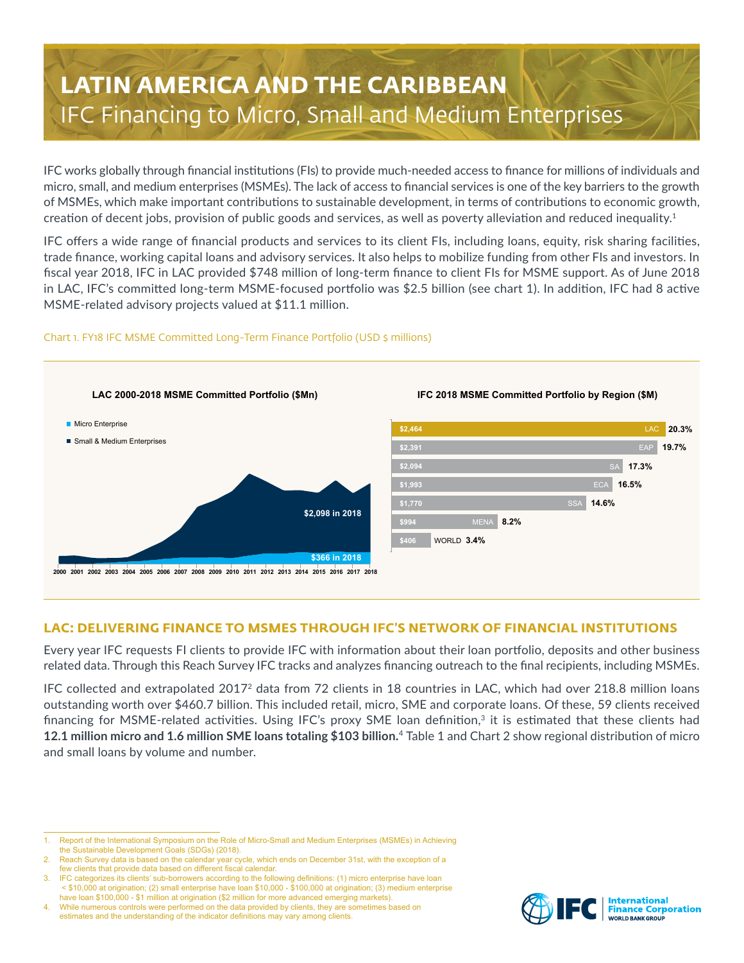# **LATIN AMERICA AND THE CARIBBEAN** IFC Financing to Micro, Small and Medium Enterprises

IFC works globally through financial institutions (FIs) to provide much-needed access to finance for millions of individuals and micro, small, and medium enterprises (MSMEs). The lack of access to financial services is one of the key barriers to the growth of MSMEs, which make important contributions to sustainable development, in terms of contributions to economic growth, creation of decent jobs, provision of public goods and services, as well as poverty alleviation and reduced inequality.<sup>1</sup>

IFC offers a wide range of financial products and services to its client FIs, including loans, equity, risk sharing facilities, trade finance, working capital loans and advisory services. It also helps to mobilize funding from other FIs and investors. In fiscal year 2018, IFC in LAC provided \$748 million of long-term finance to client FIs for MSME support. As of June 2018 in LAC, IFC's committed long-term MSME-focused portfolio was \$2.5 billion (see chart 1). In addition, IFC had 8 active MSME-related advisory projects valued at \$11.1 million.

#### Chart 1. FY18 IFC MSME Committed Long-Term Finance Portfolio (USD \$ millions)



### **LAC: DELIVERING FINANCE TO MSMES THROUGH IFC'S NETWORK OF FINANCIAL INSTITUTIONS**

Every year IFC requests FI clients to provide IFC with information about their loan portfolio, deposits and other business related data. Through this Reach Survey IFC tracks and analyzes financing outreach to the final recipients, including MSMEs.

IFC collected and extrapolated 20172 data from 72 clients in 18 countries in LAC, which had over 218.8 million loans outstanding worth over \$460.7 billion. This included retail, micro, SME and corporate loans. Of these, 59 clients received financing for MSME-related activities. Using IFC's proxy SME loan definition,<sup>3</sup> it is estimated that these clients had **12.1 million micro and 1.6 million SME loans totaling \$103 billion.** <sup>4</sup> Table 1 and Chart 2 show regional distribution of micro and small loans by volume and number.



<sup>1.</sup> Report of the International Symposium on the Role of Micro-Small and Medium Enterprises (MSMEs) in Achieving the Sustainable Development Goals (SDGs) (2018).

Reach Survey data is based on the calendar year cycle, which ends on December 31st, with the exception of a few clients that provide data based on different fiscal calendar

<sup>3.</sup> IFC categorizes its clients' sub-borrowers according to the following definitions: (1) micro enterprise have loan < \$10,000 at origination; (2) small enterprise have loan \$10,000 - \$100,000 at origination; (3) medium enterprise have loan \$100,000 - \$1 million at origination (\$2 million for more advanced emerging markets).

<sup>4.</sup> While numerous controls were performed on the data provided by clients, they are sometimes based on estimates and the understanding of the indicator definitions may vary among clients.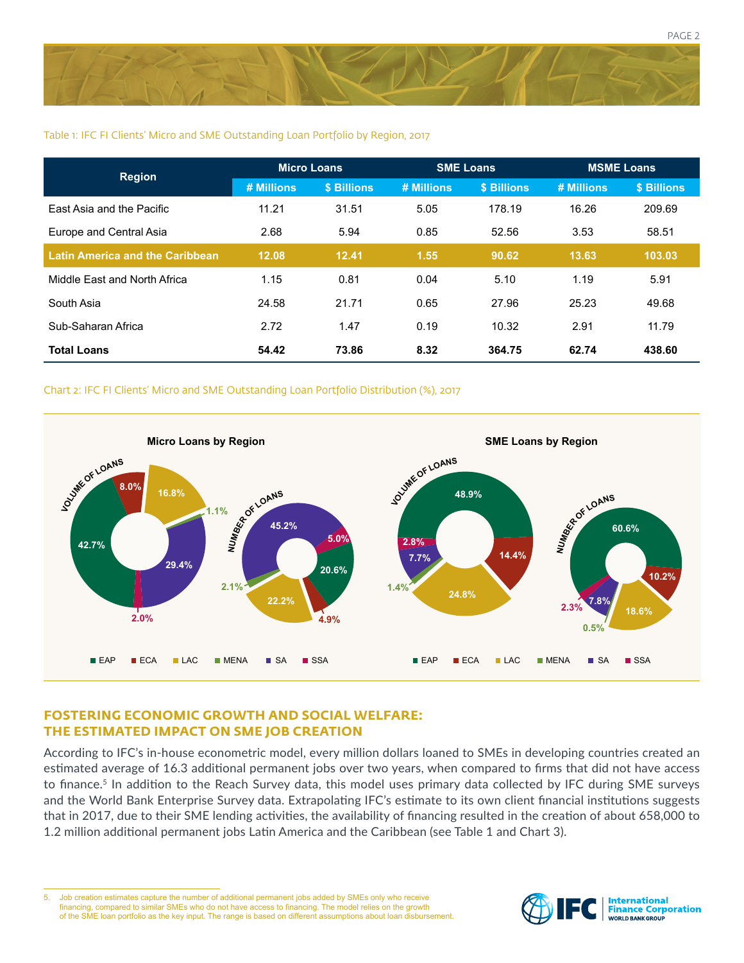

#### Table 1: IFC FI Clients' Micro and SME Outstanding Loan Portfolio by Region, 2017

| <b>Region</b>                          | <b>Micro Loans</b> |             | <b>SME Loans</b> |             | <b>MSME Loans</b> |             |
|----------------------------------------|--------------------|-------------|------------------|-------------|-------------------|-------------|
|                                        | # Millions         | \$ Billions | # Millions       | \$ Billions | # Millions        | \$ Billions |
| East Asia and the Pacific              | 11.21              | 31.51       | 5.05             | 178.19      | 16.26             | 209.69      |
| Europe and Central Asia                | 2.68               | 5.94        | 0.85             | 52.56       | 3.53              | 58.51       |
| <b>Latin America and the Caribbean</b> | 12.08              | 12.41       | 1.55             | 90.62       | 13.63             | 103.03      |
| Middle East and North Africa           | 1.15               | 0.81        | 0.04             | 5.10        | 1.19              | 5.91        |
| South Asia                             | 24.58              | 21.71       | 0.65             | 27.96       | 25.23             | 49.68       |
| Sub-Saharan Africa                     | 2.72               | 1.47        | 0.19             | 10.32       | 2.91              | 11.79       |
| <b>Total Loans</b>                     | 54.42              | 73.86       | 8.32             | 364.75      | 62.74             | 438.60      |

#### Chart 2: IFC FI Clients' Micro and SME Outstanding Loan Portfolio Distribution (%), 2017



#### **FOSTERING ECONOMIC GROWTH AND SOCIAL WELFARE: THE ESTIMATED IMPACT ON SME JOB CREATION**

According to IFC's in-house econometric model, every million dollars loaned to SMEs in developing countries created an estimated average of 16.3 additional permanent jobs over two years, when compared to firms that did not have access to finance.<sup>5</sup> In addition to the Reach Survey data, this model uses primary data collected by IFC during SME surveys and the World Bank Enterprise Survey data. Extrapolating IFC's estimate to its own client financial institutions suggests that in 2017, due to their SME lending activities, the availability of financing resulted in the creation of about 658,000 to 1.2 million additional permanent jobs Latin America and the Caribbean (see Table 1 and Chart 3).

5. Job creation estimates capture the number of additional permanent jobs added by SMEs only who receive financing, compared to similar SMEs who do not have access to financing. The model relies on the growth of the SME loan portfolio as the key input. The range is based on different assumptions about loan disbursement.

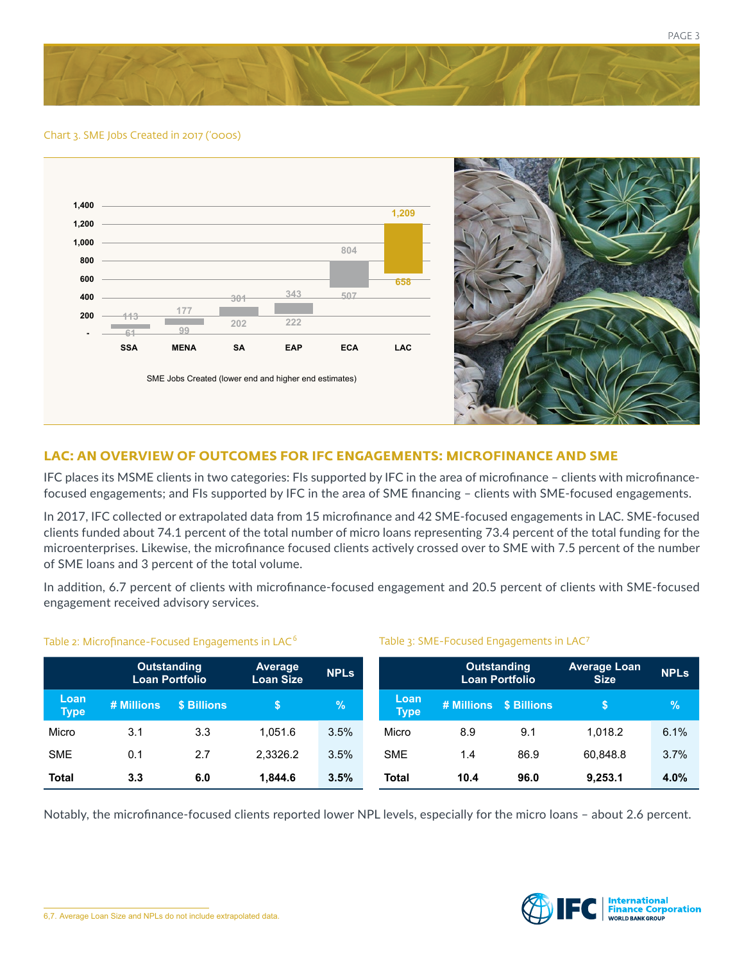

#### Chart 3. SME Jobs Created in 2017 ('000s)





#### **LAC: AN OVERVIEW OF OUTCOMES FOR IFC ENGAGEMENTS: MICROFINANCE AND SME**

IFC places its MSME clients in two categories: FIs supported by IFC in the area of microfinance – clients with microfinancefocused engagements; and FIs supported by IFC in the area of SME financing – clients with SME-focused engagements.

In 2017, IFC collected or extrapolated data from 15 microfinance and 42 SME-focused engagements in LAC. SME-focused clients funded about 74.1 percent of the total number of micro loans representing 73.4 percent of the total funding for the microenterprises. Likewise, the microfinance focused clients actively crossed over to SME with 7.5 percent of the number of SME loans and 3 percent of the total volume.

In addition, 6.7 percent of clients with microfinance-focused engagement and 20.5 percent of clients with SME-focused engagement received advisory services.

#### **Outstanding Loan Portfolio Average Loan Size NPLs Loan Type # Millions \$ Billions \$ %** Micro 3.1 3.3 1,051.6 3.5% SME 0.1 2.7 2,3326.2 3.5% **Total 3.3 6.0 1,844.6 3.5%** Table 3: SME-Focused Engagements in LAC<sup>7</sup> **Outstanding Loan Portfolio Average Loan Size NPLs Loan Type # Millions \$ Billions \$ %** Micro 8.9 9.1 1,018.2 6.1% SME 1.4 86.9 60.848.8 3.7% **Total 10.4 96.0 9,253.1 4.0%**

#### Table 2: Microfinance-Focused Engagements in LAC<sup>6</sup>

Notably, the microfinance-focused clients reported lower NPL levels, especially for the micro loans – about 2.6 percent.

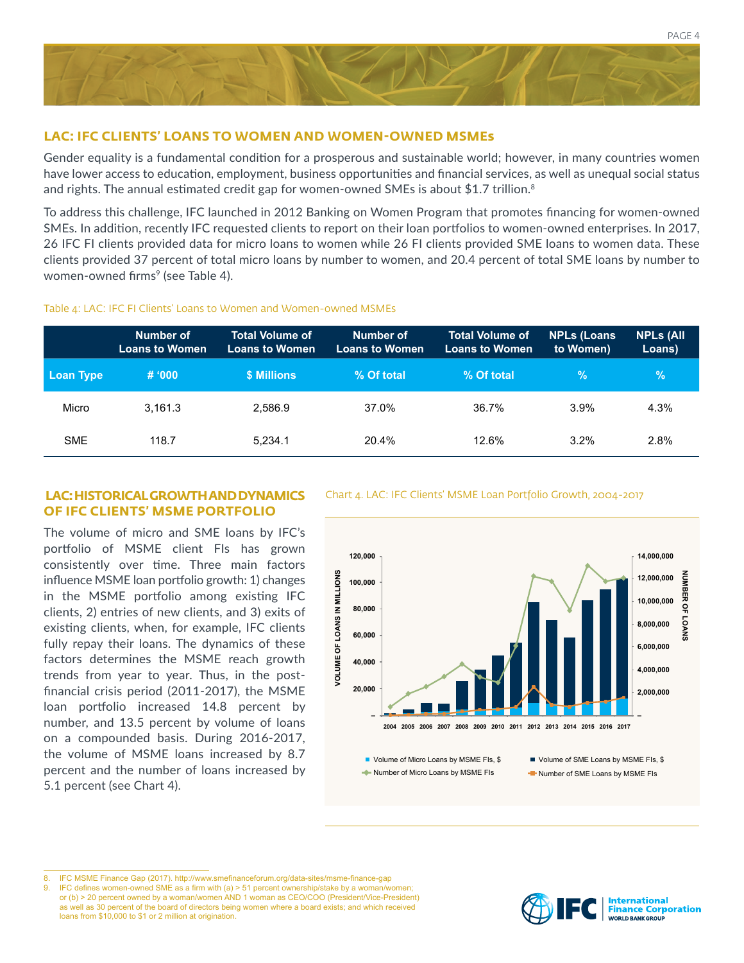

#### **LAC: IFC CLIENTS' LOANS TO WOMEN AND WOMEN-OWNED MSMEs**

Gender equality is a fundamental condition for a prosperous and sustainable world; however, in many countries women have lower access to education, employment, business opportunities and financial services, as well as unequal social status and rights. The annual estimated credit gap for women-owned SMEs is about \$1.7 trillion.<sup>8</sup>

To address this challenge, IFC launched in 2012 Banking on Women Program that promotes financing for women-owned SMEs. In addition, recently IFC requested clients to report on their loan portfolios to women-owned enterprises. In 2017, 26 IFC FI clients provided data for micro loans to women while 26 FI clients provided SME loans to women data. These clients provided 37 percent of total micro loans by number to women, and 20.4 percent of total SME loans by number to women-owned firms<sup>9</sup> (see Table 4).

#### Table 4: LAC: IFC FI Clients' Loans to Women and Women-owned MSMEs

|            | Number of<br><b>Loans to Women</b> | <b>Total Volume of</b><br><b>Loans to Women</b> | Number of<br><b>Loans to Women</b> | <b>Total Volume of</b><br><b>Loans to Women</b> | <b>NPLs (Loans</b><br>to Women) | <b>NPLs (All</b><br>Loans) |
|------------|------------------------------------|-------------------------------------------------|------------------------------------|-------------------------------------------------|---------------------------------|----------------------------|
| Loan Type  | # 000                              | \$ Millions                                     | % Of total                         | % Of total                                      | $\%$                            | $\mathcal{C}$              |
| Micro      | 3.161.3                            | 2.586.9                                         | 37.0%                              | 36.7%                                           | 3.9%                            | 4.3%                       |
| <b>SME</b> | 118.7                              | 5.234.1                                         | 20.4%                              | 12.6%                                           | $3.2\%$                         | 2.8%                       |

## **OF IFC CLIENTS' MSME PORTFOLIO**

The volume of micro and SME loans by IFC's portfolio of MSME client FIs has grown consistently over time. Three main factors influence MSME loan portfolio growth: 1) changes in the MSME portfolio among existing IFC clients, 2) entries of new clients, and 3) exits of existing clients, when, for example, IFC clients fully repay their loans. The dynamics of these factors determines the MSME reach growth trends from year to year. Thus, in the postfinancial crisis period (2011-2017), the MSME loan portfolio increased 14.8 percent by number, and 13.5 percent by volume of loans on a compounded basis. During 2016-2017, the volume of MSME loans increased by 8.7 percent and the number of loans increased by 5.1 percent (see Chart 4).

 **LAC: HISTORICAL GROWTH AND DYNAMICS** Chart 4. LAC: IFC Clients' MSME Loan Portfolio Growth, 2004-2017



9. IFC defines women-owned SME as a firm with (a) > 51 percent ownership/stake by a woman/women; or (b) > 20 percent owned by a woman/women AND 1 woman as CEO/COO (President/Vice-President) as well as 30 percent of the board of directors being women where a board exists; and which received loans from \$10,000 to \$1 or 2 million at origination.



PAGE 4

<sup>8.</sup> IFC MSME Finance Gap (2017). http://www.smefinanceforum.org/data-sites/msme-finance-gap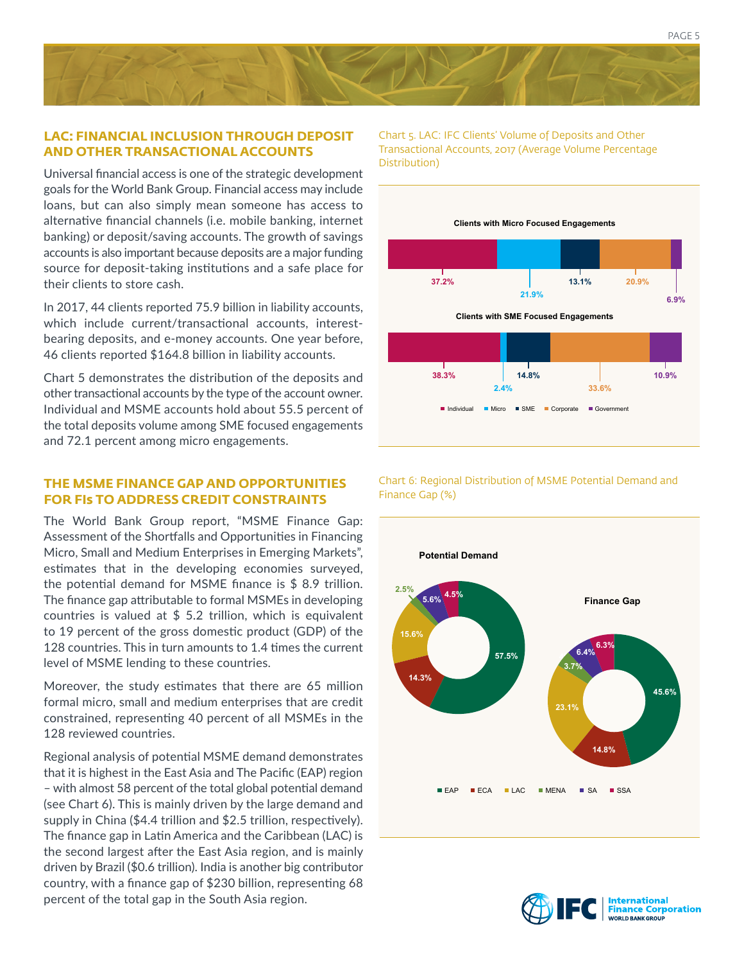#### **LAC: FINANCIAL INCLUSION THROUGH DEPOSIT AND OTHER TRANSACTIONAL ACCOUNTS**

Universal financial access is one of the strategic development goals for the World Bank Group. Financial access may include loans, but can also simply mean someone has access to alternative financial channels (i.e. mobile banking, internet banking) or deposit/saving accounts. The growth of savings accounts is also important because deposits are a major funding source for deposit-taking institutions and a safe place for their clients to store cash.

In 2017, 44 clients reported 75.9 billion in liability accounts, which include current/transactional accounts, interestbearing deposits, and e-money accounts. One year before, 46 clients reported \$164.8 billion in liability accounts.

Chart 5 demonstrates the distribution of the deposits and other transactional accounts by the type of the account owner. Individual and MSME accounts hold about 55.5 percent of the total deposits volume among SME focused engagements and 72.1 percent among micro engagements.

#### **THE MSME FINANCE GAP AND OPPORTUNITIES FOR FIs TO ADDRESS CREDIT CONSTRAINTS**

The World Bank Group report, "MSME Finance Gap: Assessment of the Shortfalls and Opportunities in Financing Micro, Small and Medium Enterprises in Emerging Markets", estimates that in the developing economies surveyed, the potential demand for MSME finance is \$ 8.9 trillion. The finance gap attributable to formal MSMEs in developing countries is valued at \$ 5.2 trillion, which is equivalent to 19 percent of the gross domestic product (GDP) of the 128 countries. This in turn amounts to 1.4 times the current level of MSME lending to these countries.

Moreover, the study estimates that there are 65 million formal micro, small and medium enterprises that are credit constrained, representing 40 percent of all MSMEs in the 128 reviewed countries.

Regional analysis of potential MSME demand demonstrates that it is highest in the East Asia and The Pacific (EAP) region – with almost 58 percent of the total global potential demand (see Chart 6). This is mainly driven by the large demand and supply in China (\$4.4 trillion and \$2.5 trillion, respectively). The finance gap in Latin America and the Caribbean (LAC) is the second largest after the East Asia region, and is mainly driven by Brazil (\$0.6 trillion). India is another big contributor country, with a finance gap of \$230 billion, representing 68 percent of the total gap in the South Asia region.

Chart 5. LAC: IFC Clients' Volume of Deposits and Other Transactional Accounts, 2017 (Average Volume Percentage Distribution)



Chart 6: Regional Distribution of MSME Potential Demand and Finance Gap (%)